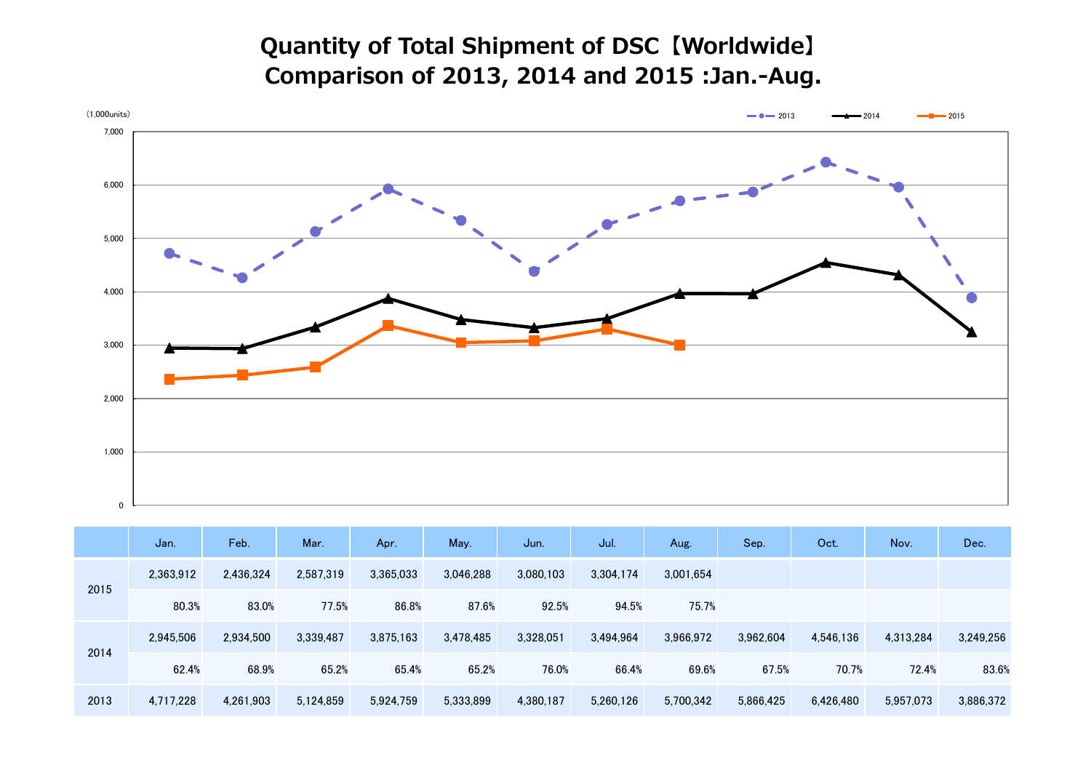## **Quantity of Total Shipment of DSC【Worldwide】 Comparison of 2013, 2014 and 2015 :Jan.-Aug.**



|      | Jan.      | Feb.      | Mar.      | Apr.      | May.      | Jun.      | Jul.      | Aug.      | Sep.      | Oct.      | Nov.      | Dec.      |
|------|-----------|-----------|-----------|-----------|-----------|-----------|-----------|-----------|-----------|-----------|-----------|-----------|
| 2015 | 2,363,912 | 2,436,324 | 2,587,319 | 3,365,033 | 3,046,288 | 3,080,103 | 3,304,174 | 3,001,654 |           |           |           |           |
|      | 80.3%     | 83.0%     | 77.5%     | 86.8%     | 87.6%     | 92.5%     | 94.5%     | 75.7%     |           |           |           |           |
| 2014 | 2,945,506 | 2,934,500 | 3,339,487 | 3,875,163 | 3,478,485 | 3,328,051 | 3,494,964 | 3,966,972 | 3,962,604 | 4,546,136 | 4,313,284 | 3,249,256 |
|      | 62.4%     | 68.9%     | 65.2%     | 65.4%     | 65.2%     | 76.0%     | 66.4%     | 69.6%     | 67.5%     | 70.7%     | 72.4%     | 83.6%     |
| 2013 | 4,717,228 | 4,261,903 | 5,124,859 | 5,924,759 | 5,333,899 | 4,380,187 | 5,260,126 | 5,700,342 | 5,866,425 | 6,426,480 | 5,957,073 | 3,886,372 |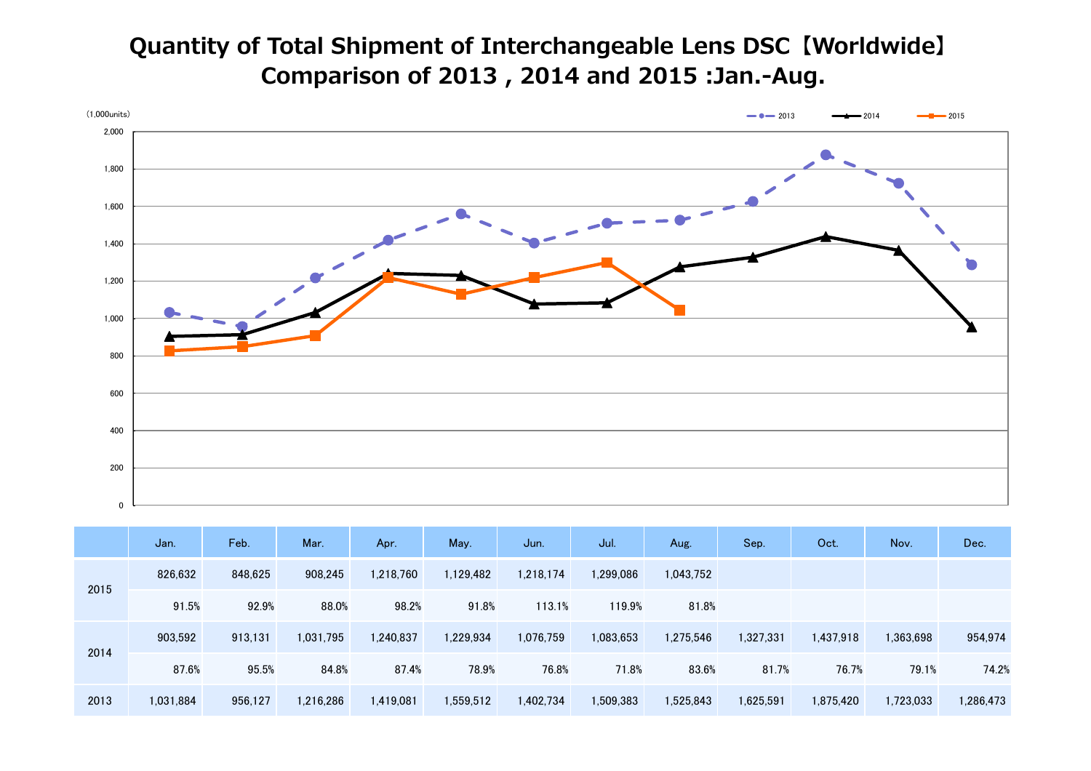## **Quantity of Total Shipment of Interchangeable Lens DSC【Worldwide】 Comparison of 2013 , 2014 and 2015 :Jan.-Aug.**



|      | Jan.      | Feb.    | Mar.      | Apr.      | May.      | Jun.      | Jul.      | Aug.      | Sep.      | Oct.      | Nov.      | Dec.      |
|------|-----------|---------|-----------|-----------|-----------|-----------|-----------|-----------|-----------|-----------|-----------|-----------|
| 2015 | 826,632   | 848,625 | 908,245   | 1,218,760 | 1,129,482 | 1,218,174 | 1,299,086 | 1,043,752 |           |           |           |           |
|      | 91.5%     | 92.9%   | 88.0%     | 98.2%     | 91.8%     | 113.1%    | 119.9%    | 81.8%     |           |           |           |           |
| 2014 | 903,592   | 913,131 | 1,031,795 | 1,240,837 | 1,229,934 | 1,076,759 | 1,083,653 | 1,275,546 | 1,327,331 | 1,437,918 | 1,363,698 | 954,974   |
|      | 87.6%     | 95.5%   | 84.8%     | 87.4%     | 78.9%     | 76.8%     | 71.8%     | 83.6%     | 81.7%     | 76.7%     | 79.1%     | 74.2%     |
| 2013 | 1,031,884 | 956,127 | 1,216,286 | 1,419,081 | 1,559,512 | 1,402,734 | 1,509,383 | 1,525,843 | 1,625,591 | 1,875,420 | 1,723,033 | 1,286,473 |